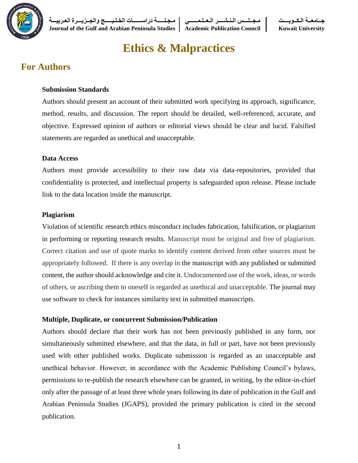

**جــامعــة الـكــويــــت مـجــلـــس الـنـشــــر الـعــلـمــــــي مـجـلـــــة دراســــــات الخـلـيـــــج والجــزيـــرة العـربيـــة Journal of the Gulf and Arabian Peninsula Studies Academic Publication Council Kuwait University**

# **Ethics & Malpractices**

# **For Authors**

#### **Submission Standards**

Authors should present an account of their submitted work specifying its approach, significance, method, results, and discussion. The report should be detailed, well-referenced, accurate, and objective. Expressed opinion of authors or editorial views should be clear and lucid. Falsified statements are regarded as unethical and unacceptable.

#### **Data Access**

Authors must provide accessibility to their raw data via data-repositories, provided that confidentiality is protected, and intellectual property is safeguarded upon release. Please include link to the data location inside the manuscript.

#### **Plagiarism**

Violation of scientific research ethics misconduct includes fabrication, falsification, or plagiarism in performing or reporting research results. Manuscript must be original and free of plagiarism. Correct citation and use of quote marks to identify content derived from other sources must be appropriately followed. If there is any overlap in the manuscript with any published or submitted content, the author should acknowledge and cite it. Undocumented use of the work, ideas, or words of others, or ascribing them to oneself is regarded as unethical and unacceptable. The journal may use software to check for instances similarity text in submitted manuscripts.

#### **Multiple, Duplicate, or concurrent Submission/Publication**

Authors should declare that their work has not been previously published in any form, nor simultaneously submitted elsewhere, and that the data, in full or part, have not been previously used with other published works. Duplicate submission is regarded as an unacceptable and unethical behavior. However, in accordance with the Academic Publishing Council's bylaws, permissions to re-publish the research elsewhere can be granted, in writing, by the editor-in-chief only after the passage of at least three whole years following its date of publication in the Gulf and Arabian Peninsula Studies (JGAPS)*,* provided the primary publication is cited in the second publication.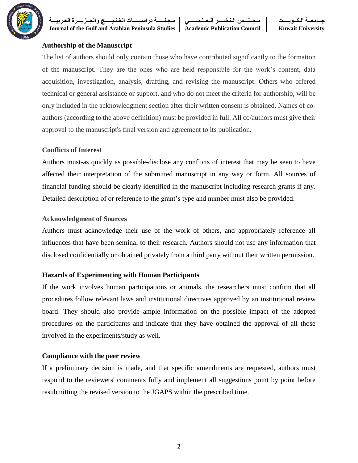

**Journal of the Gulf and Arabian Peninsula Studies Academic Publication Council Kuwait University**

**جــامعــة الـكــويــــت مـجــلـــس الـنـشــــر الـعــلـمــــــي مـجـلـــــة دراســــــات الخـلـيـــــج والجــزيـــرة العـربيـــة**



#### **Authorship of the Manuscript**

The list of authors should only contain those who have contributed significantly to the formation of the manuscript. They are the ones who are held responsible for the work's content, data acquisition, investigation, analysis, drafting, and revising the manuscript. Others who offered technical or general assistance or support, and who do not meet the criteria for authorship, will be only included in the acknowledgment section after their written consent is obtained. Names of coauthors (according to the above definition) must be provided in full. All co/authors must give their approval to the manuscript's final version and agreement to its publication.

#### **Conflicts of Interest**

Authors must-as quickly as possible-disclose any conflicts of interest that may be seen to have affected their interpretation of the submitted manuscript in any way or form. All sources of financial funding should be clearly identified in the manuscript including research grants if any. Detailed description of or reference to the grant's type and number must also be provided.

#### **Acknowledgment of Sources**

Authors must acknowledge their use of the work of others, and appropriately reference all influences that have been seminal to their research. Authors should not use any information that disclosed confidentially or obtained privately from a third party without their written permission.

#### **Hazards of Experimenting with Human Participants**

If the work involves human participations or animals, the researchers must confirm that all procedures follow relevant laws and institutional directives approved by an institutional review board. They should also provide ample information on the possible impact of the adopted procedures on the participants and indicate that they have obtained the approval of all those involved in the experiments/study as well.

#### **Compliance with the peer review**

If a preliminary decision is made, and that specific amendments are requested, authors must respond to the reviewers' comments fully and implement all suggestions point by point before resubmitting the revised version to the JGAPS within the prescribed time.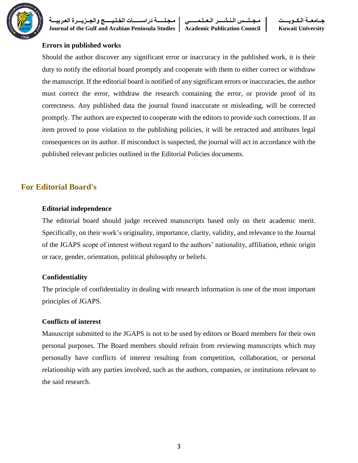

**جــامعــة الـكــويــــت مـجــلـــس الـنـشــــر الـعــلـمــــــي مـجـلـــــة دراســــــات الخـلـيـــــج والجــزيـــرة العـربيـــة**

**Journal of the Gulf and Arabian Peninsula Studies Academic Publication Council Kuwait University**

#### **Errors in published works**

Should the author discover any significant error or inaccuracy in the published work, it is their duty to notify the editorial board promptly and cooperate with them to either correct or withdraw the manuscript. If the editorial board is notified of any significant errors or inaccuracies, the author must correct the error, withdraw the research containing the error, or provide proof of its correctness. Any published data the journal found inaccurate or misleading, will be corrected promptly. The authors are expected to cooperate with the editors to provide such corrections. If an item proved to pose violation to the publishing policies, it will be retracted and attributes legal consequences on its author. If misconduct is suspected, the journal will act in accordance with the published relevant policies outlined in the Editorial Policies documents.

#### **For Editorial Board's**

#### **Editorial independence**

The editorial board should judge received manuscripts based only on their academic merit. Specifically, on their work's originality, importance, clarity, validity, and relevance to the Journal of the JGAPS scope of interest without regard to the authors' nationality, affiliation, ethnic origin or race, gender, orientation, political philosophy or beliefs.

#### **Confidentiality**

The principle of confidentiality in dealing with research information is one of the most important principles of JGAPS.

#### **Conflicts of interest**

Manuscript submitted to the JGAPS is not to be used by editors or Board members for their own personal purposes. The Board members should refrain from reviewing manuscripts which may personally have conflicts of interest resulting from competition, collaboration, or personal relationship with any parties involved, such as the authors, companies, or institutions relevant to the said research.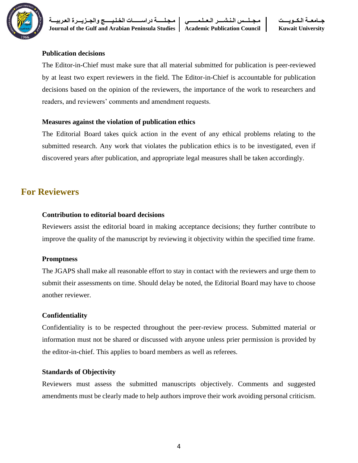

**جــامعــة الـكــويــــت مـجــلـــس الـنـشــــر الـعــلـمــــــي مـجـلـــــة دراســــــات الخـلـيـــــج والجــزيـــرة العـربيـــة Journal of the Gulf and Arabian Peninsula Studies Academic Publication Council Kuwait University**

#### **Publication decisions**

The Editor-in-Chief must make sure that all material submitted for publication is peer-reviewed by at least two expert reviewers in the field. The Editor-in-Chief is accountable for publication decisions based on the opinion of the reviewers, the importance of the work to researchers and readers, and reviewers' comments and amendment requests.

#### **Measures against the violation of publication ethics**

The Editorial Board takes quick action in the event of any ethical problems relating to the submitted research. Any work that violates the publication ethics is to be investigated, even if discovered years after publication, and appropriate legal measures shall be taken accordingly.

## **For Reviewers**

#### **Contribution to editorial board decisions**

Reviewers assist the editorial board in making acceptance decisions; they further contribute to improve the quality of the manuscript by reviewing it objectivity within the specified time frame.

#### **Promptness**

The JGAPS shall make all reasonable effort to stay in contact with the reviewers and urge them to submit their assessments on time. Should delay be noted, the Editorial Board may have to choose another reviewer.

#### **Confidentiality**

Confidentiality is to be respected throughout the peer-review process. Submitted material or information must not be shared or discussed with anyone unless prier permission is provided by the editor-in-chief. This applies to board members as well as referees.

#### **Standards of Objectivity**

Reviewers must assess the submitted manuscripts objectively. Comments and suggested amendments must be clearly made to help authors improve their work avoiding personal criticism.